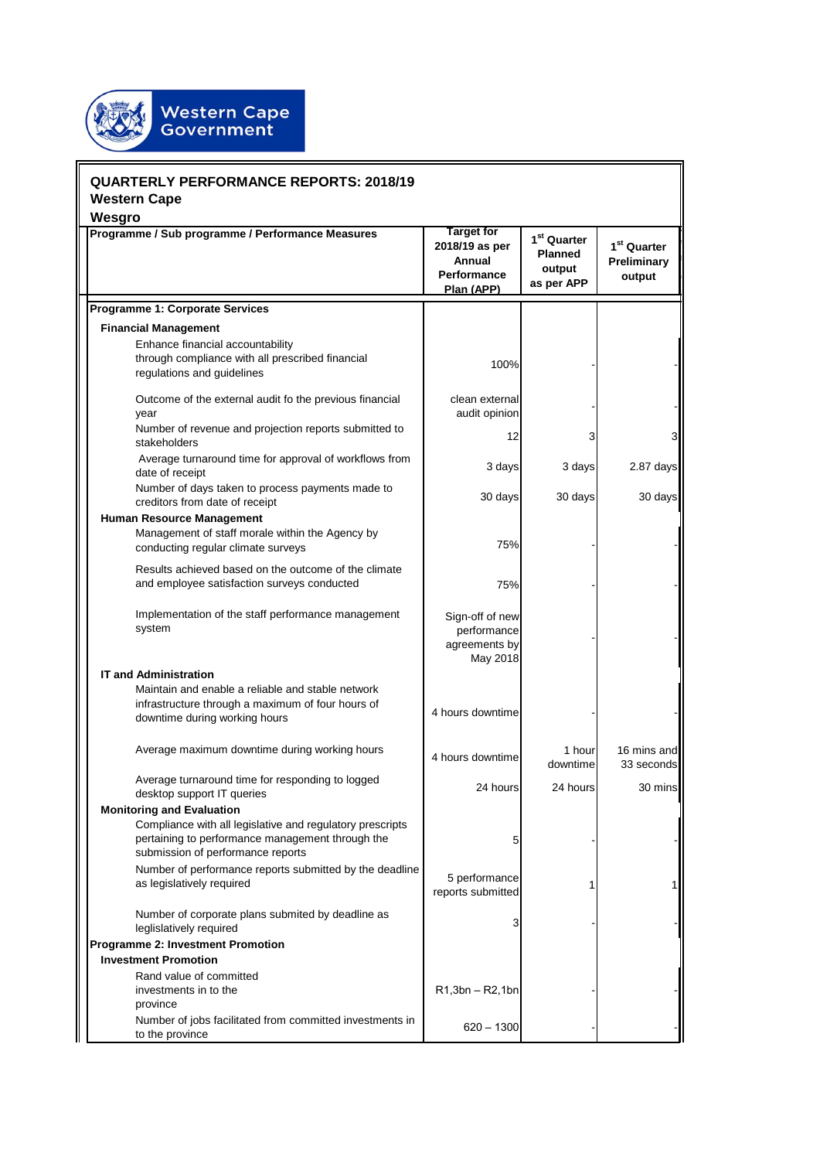

| <b>QUARTERLY PERFORMANCE REPORTS: 2018/19</b><br><b>Western Cape</b>                                                                                                                   |                                                                                   |                                                                   |                                                  |
|----------------------------------------------------------------------------------------------------------------------------------------------------------------------------------------|-----------------------------------------------------------------------------------|-------------------------------------------------------------------|--------------------------------------------------|
| Wesgro<br>Programme / Sub programme / Performance Measures                                                                                                                             | <b>Target for</b><br>2018/19 as per<br>Annual<br><b>Performance</b><br>Plan (APP) | 1 <sup>st</sup> Quarter<br><b>Planned</b><br>output<br>as per APP | 1 <sup>st</sup> Quarter<br>Preliminary<br>output |
| <b>Programme 1: Corporate Services</b>                                                                                                                                                 |                                                                                   |                                                                   |                                                  |
| <b>Financial Management</b>                                                                                                                                                            |                                                                                   |                                                                   |                                                  |
| Enhance financial accountability<br>through compliance with all prescribed financial<br>regulations and guidelines                                                                     | 100%                                                                              |                                                                   |                                                  |
| Outcome of the external audit fo the previous financial<br>year                                                                                                                        | clean external<br>audit opinion                                                   |                                                                   |                                                  |
| Number of revenue and projection reports submitted to<br>stakeholders                                                                                                                  | 12                                                                                | 3                                                                 | $\overline{3}$                                   |
| Average turnaround time for approval of workflows from<br>date of receipt                                                                                                              | 3 days                                                                            | 3 days                                                            | $2.87$ days                                      |
| Number of days taken to process payments made to<br>creditors from date of receipt                                                                                                     | 30 days                                                                           | 30 days                                                           | 30 days                                          |
| Human Resource Management<br>Management of staff morale within the Agency by<br>conducting regular climate surveys                                                                     | 75%                                                                               |                                                                   |                                                  |
| Results achieved based on the outcome of the climate<br>and employee satisfaction surveys conducted                                                                                    | 75%                                                                               |                                                                   |                                                  |
| Implementation of the staff performance management<br>system                                                                                                                           | Sign-off of new<br>performance<br>agreements by<br>May 2018                       |                                                                   |                                                  |
| <b>IT and Administration</b>                                                                                                                                                           |                                                                                   |                                                                   |                                                  |
| Maintain and enable a reliable and stable network<br>infrastructure through a maximum of four hours of<br>downtime during working hours                                                | 4 hours downtime                                                                  |                                                                   |                                                  |
| Average maximum downtime during working hours                                                                                                                                          | 4 hours downtimel                                                                 | 1 hour<br>downtime                                                | 16 mins and<br>33 seconds                        |
| Average turnaround time for responding to logged<br>desktop support IT queries                                                                                                         | 24 hours                                                                          | 24 hours                                                          | 30 mins                                          |
| <b>Monitoring and Evaluation</b><br>Compliance with all legislative and regulatory prescripts<br>pertaining to performance management through the<br>submission of performance reports | 5                                                                                 |                                                                   |                                                  |
| Number of performance reports submitted by the deadline<br>as legislatively required                                                                                                   | 5 performance<br>reports submitted                                                |                                                                   | 11                                               |
| Number of corporate plans submited by deadline as<br>leglislatively required                                                                                                           | 3                                                                                 |                                                                   |                                                  |
| <b>Programme 2: Investment Promotion</b>                                                                                                                                               |                                                                                   |                                                                   |                                                  |
| <b>Investment Promotion</b><br>Rand value of committed                                                                                                                                 |                                                                                   |                                                                   |                                                  |
| investments in to the<br>province                                                                                                                                                      | $R1,3bn - R2,1bn$                                                                 |                                                                   |                                                  |
| Number of jobs facilitated from committed investments in<br>to the province                                                                                                            | $620 - 1300$                                                                      |                                                                   |                                                  |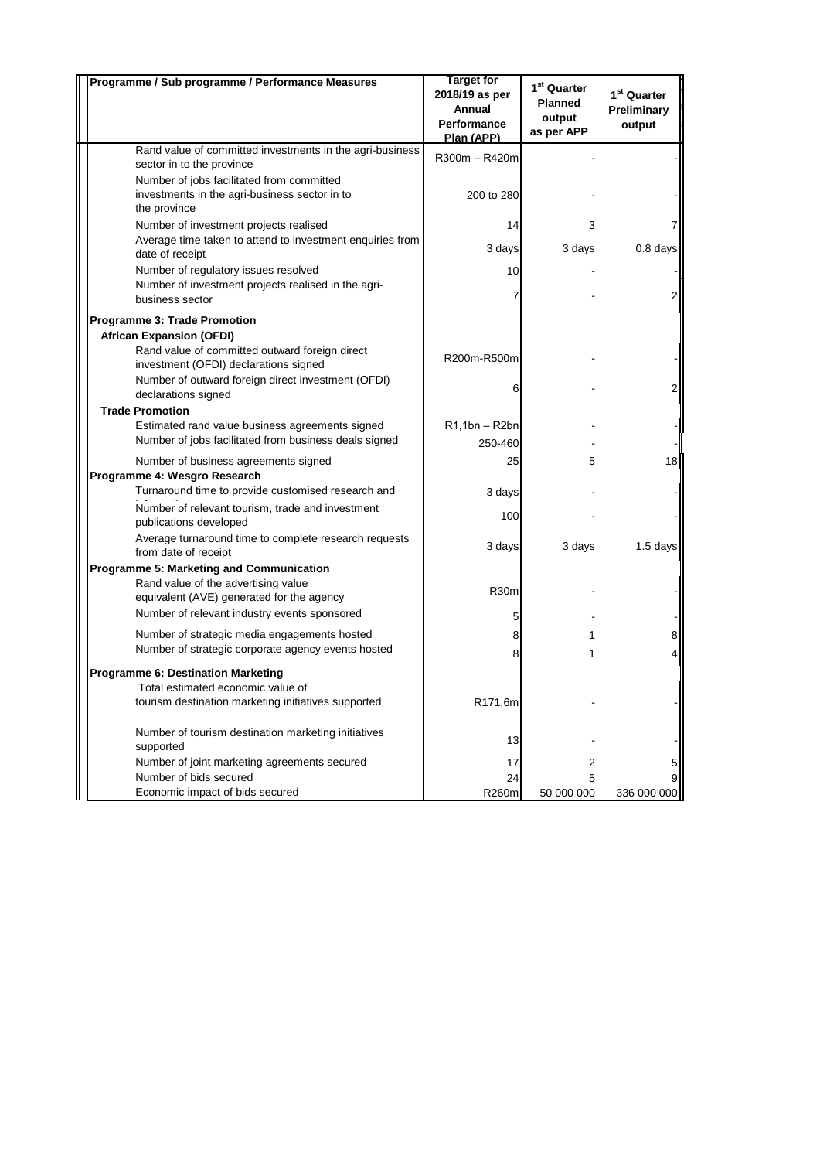| Programme / Sub programme / Performance Measures                                                         | <b>Target for</b><br>2018/19 as per<br>Annual<br><b>Performance</b><br>Plan (APP) | 1 <sup>st</sup> Quarter<br><b>Planned</b><br>output<br>as per APP | 1 <sup>st</sup> Quarter<br>Preliminary<br>output |
|----------------------------------------------------------------------------------------------------------|-----------------------------------------------------------------------------------|-------------------------------------------------------------------|--------------------------------------------------|
| Rand value of committed investments in the agri-business<br>sector in to the province                    | R300m - R420m                                                                     |                                                                   |                                                  |
| Number of jobs facilitated from committed                                                                |                                                                                   |                                                                   |                                                  |
| investments in the agri-business sector in to<br>the province                                            | 200 to 280                                                                        |                                                                   |                                                  |
| Number of investment projects realised                                                                   | 14                                                                                |                                                                   |                                                  |
| Average time taken to attend to investment enquiries from<br>date of receipt                             | 3 days                                                                            | 3 days                                                            | $0.8$ days                                       |
| Number of regulatory issues resolved                                                                     | 10                                                                                |                                                                   |                                                  |
| Number of investment projects realised in the agri-<br>business sector                                   |                                                                                   |                                                                   |                                                  |
| Programme 3: Trade Promotion                                                                             |                                                                                   |                                                                   |                                                  |
| <b>African Expansion (OFDI)</b>                                                                          |                                                                                   |                                                                   |                                                  |
| Rand value of committed outward foreign direct<br>investment (OFDI) declarations signed                  | R200m-R500m                                                                       |                                                                   |                                                  |
| Number of outward foreign direct investment (OFDI)<br>declarations signed                                | 6                                                                                 |                                                                   | 2                                                |
| <b>Trade Promotion</b>                                                                                   |                                                                                   |                                                                   |                                                  |
| Estimated rand value business agreements signed<br>Number of jobs facilitated from business deals signed | $R1,1bn - R2bn$<br>250-460                                                        |                                                                   |                                                  |
| Number of business agreements signed                                                                     | 25                                                                                | 5                                                                 | 18                                               |
| Programme 4: Wesgro Research                                                                             |                                                                                   |                                                                   |                                                  |
| Turnaround time to provide customised research and                                                       | 3 days                                                                            |                                                                   |                                                  |
| Number of relevant tourism, trade and investment<br>publications developed                               | 100                                                                               |                                                                   |                                                  |
| Average turnaround time to complete research requests<br>from date of receipt                            | 3 days                                                                            | 3 days                                                            | $1.5$ days                                       |
| Programme 5: Marketing and Communication                                                                 |                                                                                   |                                                                   |                                                  |
| Rand value of the advertising value<br>equivalent (AVE) generated for the agency                         | R30m                                                                              |                                                                   |                                                  |
| Number of relevant industry events sponsored                                                             | 5                                                                                 |                                                                   |                                                  |
| Number of strategic media engagements hosted                                                             | 8                                                                                 |                                                                   | 8                                                |
| Number of strategic corporate agency events hosted                                                       | 8                                                                                 |                                                                   |                                                  |
| Programme 6: Destination Marketing                                                                       |                                                                                   |                                                                   |                                                  |
| Total estimated economic value of<br>tourism destination marketing initiatives supported                 | R171,6m                                                                           |                                                                   |                                                  |
| Number of tourism destination marketing initiatives<br>supported                                         | 13                                                                                |                                                                   |                                                  |
| Number of joint marketing agreements secured                                                             | 17                                                                                | 2                                                                 | 5                                                |
| Number of bids secured<br>Economic impact of bids secured                                                | 24<br>R260m                                                                       | 5<br>50 000 000                                                   | 9<br>336 000 000                                 |
|                                                                                                          |                                                                                   |                                                                   |                                                  |